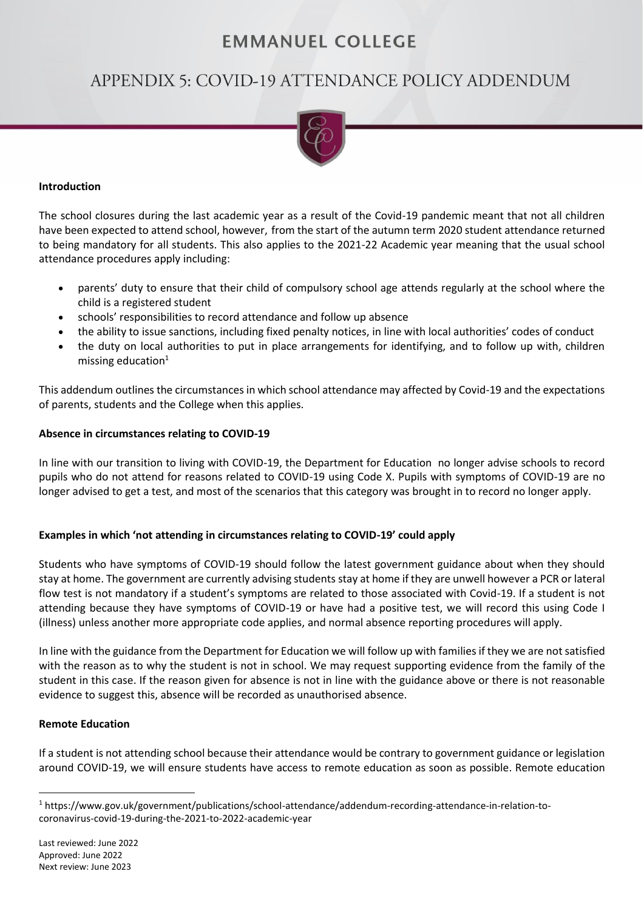# **EMMANUEL COLLEGE**

# APPENDIX 5: COVID-19 ATTENDANCE POLICY ADDENDUM



#### **Introduction**

The school closures during the last academic year as a result of the Covid-19 pandemic meant that not all children have been expected to attend school, however, from the start of the autumn term 2020 student attendance returned to being mandatory for all students. This also applies to the 2021-22 Academic year meaning that the usual school attendance procedures apply including:

- parents' duty to ensure that their child of compulsory school age attends regularly at the school where the child is a registered student
- schools' responsibilities to record attendance and follow up absence
- the ability to issue sanctions, including fixed penalty notices, in line with local authorities' codes of conduct
- the duty on local authorities to put in place arrangements for identifying, and to follow up with, children missing education $1$

This addendum outlines the circumstances in which school attendance may affected by Covid-19 and the expectations of parents, students and the College when this applies.

#### **Absence in circumstances relating to COVID-19**

In line with our transition to living with COVID-19, the Department for Education no longer advise schools to record pupils who do not attend for reasons related to COVID-19 using Code X. Pupils with symptoms of COVID-19 are no longer advised to get a test, and most of the scenarios that this category was brought in to record no longer apply.

## **Examples in which 'not attending in circumstances relating to COVID-19' could apply**

Students who have symptoms of COVID-19 should follow the latest government guidance about when they should stay at home. The government are currently advising students stay at home if they are unwell however a PCR or lateral flow test is not mandatory if a student's symptoms are related to those associated with Covid-19. If a student is not attending because they have symptoms of COVID-19 or have had a positive test, we will record this using Code I (illness) unless another more appropriate code applies, and normal absence reporting procedures will apply.

In line with the guidance from the Department for Education we will follow up with families if they we are not satisfied with the reason as to why the student is not in school. We may request supporting evidence from the family of the student in this case. If the reason given for absence is not in line with the guidance above or there is not reasonable evidence to suggest this, absence will be recorded as unauthorised absence.

## **Remote Education**

If a student is not attending school because their attendance would be contrary to government guidance or legislation around COVID-19, we will ensure students have access to remote education as soon as possible. Remote education

<sup>1</sup> https://www.gov.uk/government/publications/school-attendance/addendum-recording-attendance-in-relation-tocoronavirus-covid-19-during-the-2021-to-2022-academic-year